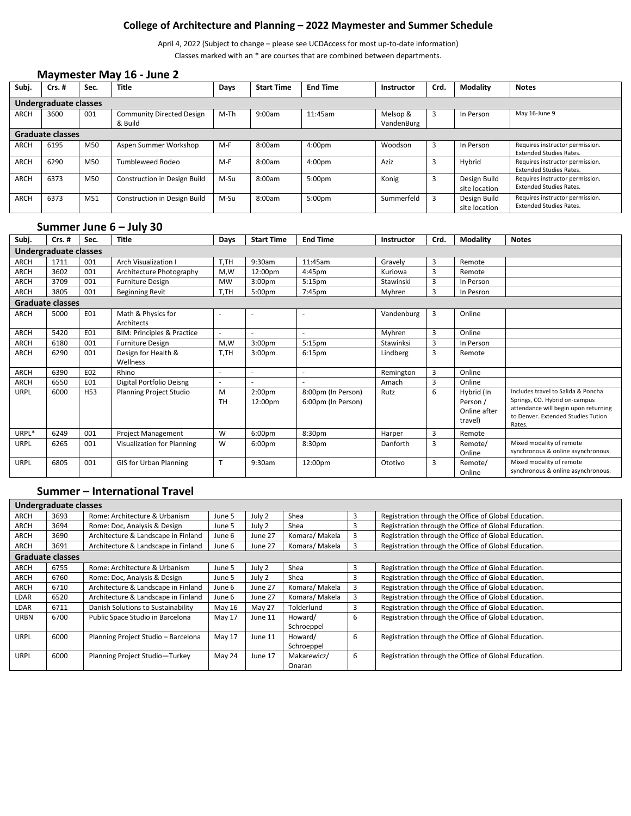# **College of Architecture and Planning – 2022 Maymester and Summer Schedule**

April 4, 2022 (Subject to change – please see UCDAccess for most up-to-date information) Classes marked with an \* are courses that are combined between departments.

#### **Maymester May 16 - June 2**

| Subj.       | $Crs.$ #                | Sec. | <b>Title</b>                         | Days | <b>Start Time</b> | <b>End Time</b>    | <b>Instructor</b>      | Crd. | Modality                      | <b>Notes</b>                                                      |
|-------------|-------------------------|------|--------------------------------------|------|-------------------|--------------------|------------------------|------|-------------------------------|-------------------------------------------------------------------|
|             | Undergraduate classes   |      |                                      |      |                   |                    |                        |      |                               |                                                                   |
| <b>ARCH</b> | 3600                    | 001  | Community Directed Design<br>& Build | M-Th | 9:00am            | 11:45am            | Melsop &<br>VandenBurg |      | In Person                     | May 16-June 9                                                     |
|             | <b>Graduate classes</b> |      |                                      |      |                   |                    |                        |      |                               |                                                                   |
| <b>ARCH</b> | 6195                    | M50  | Aspen Summer Workshop                | M-F  | 8:00am            | 4:00 <sub>pm</sub> | Woodson                | 3    | In Person                     | Requires instructor permission.<br><b>Extended Studies Rates.</b> |
| <b>ARCH</b> | 6290                    | M50  | Tumbleweed Rodeo                     | M-F  | 8:00am            | 4:00 <sub>pm</sub> | Aziz                   |      | Hybrid                        | Requires instructor permission.<br><b>Extended Studies Rates.</b> |
| <b>ARCH</b> | 6373                    | M50  | Construction in Design Build         | M-Su | 8:00am            | 5:00pm             | Konig                  | 3    | Design Build<br>site location | Requires instructor permission.<br><b>Extended Studies Rates.</b> |
| <b>ARCH</b> | 6373                    | M51  | Construction in Design Build         | M-Su | 8:00am            | 5:00 <sub>pm</sub> | Summerfeld             | 3    | Design Build<br>site location | Requires instructor permission.<br><b>Extended Studies Rates.</b> |

# **Summer June 6 – July 30**

| Subj.                 | $Crs.$ #                | Sec. | <b>Title</b>                          | Days           | <b>Start Time</b>             | <b>End Time</b>                          | Instructor | Crd. | <b>Modality</b>                                   | <b>Notes</b>                                                                                                                                                |
|-----------------------|-------------------------|------|---------------------------------------|----------------|-------------------------------|------------------------------------------|------------|------|---------------------------------------------------|-------------------------------------------------------------------------------------------------------------------------------------------------------------|
| Undergraduate classes |                         |      |                                       |                |                               |                                          |            |      |                                                   |                                                                                                                                                             |
| <b>ARCH</b>           | 1711                    | 001  | <b>Arch Visualization I</b>           | T,TH           | 9:30am                        | 11:45am                                  | Gravely    | 3    | Remote                                            |                                                                                                                                                             |
| ARCH                  | 3602                    | 001  | Architecture Photography              | M.W            | 12:00pm                       | 4:45pm                                   | Kuriowa    | 3    | Remote                                            |                                                                                                                                                             |
| <b>ARCH</b>           | 3709                    | 001  | <b>Furniture Design</b>               | MW             | 3:00 <sub>pm</sub>            | 5:15 <sub>pm</sub>                       | Stawinski  | 3    | In Person                                         |                                                                                                                                                             |
| ARCH                  | 3805                    | 001  | <b>Beginning Revit</b>                | T,TH           | 5:00 <sub>pm</sub>            | 7:45pm                                   | Myhren     | 3    | In Pesron                                         |                                                                                                                                                             |
|                       | <b>Graduate classes</b> |      |                                       |                |                               |                                          |            |      |                                                   |                                                                                                                                                             |
| ARCH                  | 5000                    | EO1  | Math & Physics for<br>Architects      |                | $\overline{\phantom{a}}$      |                                          | Vandenburg | 3    | Online                                            |                                                                                                                                                             |
| ARCH                  | 5420                    | E01  | <b>BIM: Principles &amp; Practice</b> | $\sim$         | $\sim$                        |                                          | Myhren     | 3    | Online                                            |                                                                                                                                                             |
| <b>ARCH</b>           | 6180                    | 001  | <b>Furniture Design</b>               | M,W            | 3:00 <sub>pm</sub>            | 5:15 <sub>pm</sub>                       | Stawinksi  | 3    | In Person                                         |                                                                                                                                                             |
| ARCH                  | 6290                    | 001  | Design for Health &<br>Wellness       | T,TH           | 3:00 <sub>pm</sub>            | 6:15 <sub>pm</sub>                       | Lindberg   | 3    | Remote                                            |                                                                                                                                                             |
| <b>ARCH</b>           | 6390                    | E02  | Rhino                                 |                | $\sim$                        |                                          | Remington  | 3    | Online                                            |                                                                                                                                                             |
| <b>ARCH</b>           | 6550                    | E01  | Digital Portfolio Deisng              |                |                               |                                          | Amach      | 3    | Online                                            |                                                                                                                                                             |
| <b>URPL</b>           | 6000                    | H53  | Planning Project Studio               | M<br><b>TH</b> | 2:00 <sub>pm</sub><br>12:00pm | 8:00pm (In Person)<br>6:00pm (In Person) | Rutz       | 6    | Hybrid (In<br>Person /<br>Online after<br>travel) | Includes travel to Salida & Poncha<br>Springs, CO. Hybrid on-campus<br>attendance will begin upon returning<br>to Denver. Extended Studies Tution<br>Rates. |
| URPL*                 | 6249                    | 001  | Project Management                    | W              | 6:00 <sub>pm</sub>            | 8:30pm                                   | Harper     | 3    | Remote                                            |                                                                                                                                                             |
| URPL                  | 6265                    | 001  | Visualization for Planning            | W              | 6:00 <sub>pm</sub>            | 8:30pm                                   | Danforth   | 3    | Remote/<br>Online                                 | Mixed modality of remote<br>synchronous & online asynchronous.                                                                                              |
| <b>URPL</b>           | 6805                    | 001  | <b>GIS for Urban Planning</b>         | $\mathbf T$    | 9:30am                        | 12:00pm                                  | Ototivo    | 3    | Remote/<br>Online                                 | Mixed modality of remote<br>synchronous & online asynchronous.                                                                                              |

### **Summer – International Travel**

| Undergraduate classes |                         |                                     |        |         |                |   |                                                      |
|-----------------------|-------------------------|-------------------------------------|--------|---------|----------------|---|------------------------------------------------------|
| ARCH                  | 3693                    | Rome: Architecture & Urbanism       | June 5 | July 2  | Shea           | 3 | Registration through the Office of Global Education. |
| <b>ARCH</b>           | 3694                    | Rome: Doc, Analysis & Design        | June 5 | July 2  | Shea           | 3 | Registration through the Office of Global Education. |
| <b>ARCH</b>           | 3690                    | Architecture & Landscape in Finland | June 6 | June 27 | Komara/Makela  | 3 | Registration through the Office of Global Education. |
| ARCH                  | 3691                    | Architecture & Landscape in Finland | June 6 | June 27 | Komara/Makela  | 3 | Registration through the Office of Global Education. |
|                       | <b>Graduate classes</b> |                                     |        |         |                |   |                                                      |
| ARCH                  | 6755                    | Rome: Architecture & Urbanism       | June 5 | July 2  | Shea           | 3 | Registration through the Office of Global Education. |
| ARCH                  | 6760                    | Rome: Doc, Analysis & Design        | June 5 | July 2  | Shea           | 3 | Registration through the Office of Global Education. |
| ARCH                  | 6710                    | Architecture & Landscape in Finland | June 6 | June 27 | Komara/Makela  | 3 | Registration through the Office of Global Education. |
| <b>LDAR</b>           | 6520                    | Architecture & Landscape in Finland | June 6 | June 27 | Komara/ Makela | 3 | Registration through the Office of Global Education. |
| <b>LDAR</b>           | 6711                    | Danish Solutions to Sustainability  | May 16 | May 27  | Tolderlund     | 3 | Registration through the Office of Global Education. |
| <b>URBN</b>           | 6700                    | Public Space Studio in Barcelona    | May 17 | June 11 | Howard/        | 6 | Registration through the Office of Global Education. |
|                       |                         |                                     |        |         | Schroeppel     |   |                                                      |
| <b>URPL</b>           | 6000                    | Planning Project Studio - Barcelona | May 17 | June 11 | Howard/        | 6 | Registration through the Office of Global Education. |
|                       |                         |                                     |        |         | Schroeppel     |   |                                                      |
| <b>URPL</b>           | 6000                    | Planning Project Studio-Turkey      | May 24 | June 17 | Makarewicz/    | 6 | Registration through the Office of Global Education. |
|                       |                         |                                     |        |         | Onaran         |   |                                                      |